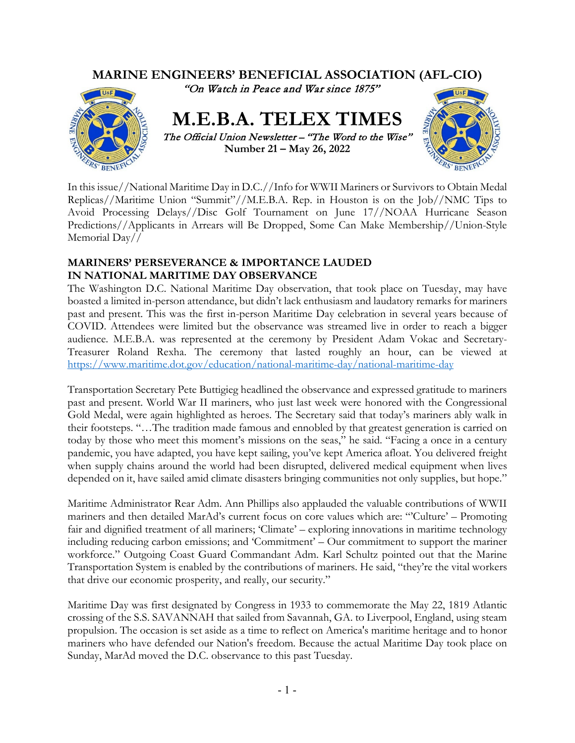

In this issue//National Maritime Day in D.C.//Info for WWII Mariners or Survivors to Obtain Medal Replicas//Maritime Union "Summit"//M.E.B.A. Rep. in Houston is on the Job//NMC Tips to Avoid Processing Delays//Disc Golf Tournament on June 17//NOAA Hurricane Season Predictions//Applicants in Arrears will Be Dropped, Some Can Make Membership//Union-Style Memorial Day//

## **MARINERS' PERSEVERANCE & IMPORTANCE LAUDED IN NATIONAL MARITIME DAY OBSERVANCE**

The Washington D.C. National Maritime Day observation, that took place on Tuesday, may have boasted a limited in-person attendance, but didn't lack enthusiasm and laudatory remarks for mariners past and present. This was the first in-person Maritime Day celebration in several years because of COVID. Attendees were limited but the observance was streamed live in order to reach a bigger audience. M.E.B.A. was represented at the ceremony by President Adam Vokac and Secretary-Treasurer Roland Rexha. The ceremony that lasted roughly an hour, can be viewed at <https://www.maritime.dot.gov/education/national-maritime-day/national-maritime-day>

Transportation Secretary Pete Buttigieg headlined the observance and expressed gratitude to mariners past and present. World War II mariners, who just last week were honored with the Congressional Gold Medal, were again highlighted as heroes. The Secretary said that today's mariners ably walk in their footsteps. "…The tradition made famous and ennobled by that greatest generation is carried on today by those who meet this moment's missions on the seas," he said. "Facing a once in a century pandemic, you have adapted, you have kept sailing, you've kept America afloat. You delivered freight when supply chains around the world had been disrupted, delivered medical equipment when lives depended on it, have sailed amid climate disasters bringing communities not only supplies, but hope."

Maritime Administrator Rear Adm. Ann Phillips also applauded the valuable contributions of WWII mariners and then detailed MarAd's current focus on core values which are: "'Culture' – Promoting fair and dignified treatment of all mariners; 'Climate' – exploring innovations in maritime technology including reducing carbon emissions; and 'Commitment' – Our commitment to support the mariner workforce." Outgoing Coast Guard Commandant Adm. Karl Schultz pointed out that the Marine Transportation System is enabled by the contributions of mariners. He said, "they're the vital workers that drive our economic prosperity, and really, our security."

Maritime Day was first designated by Congress in 1933 to commemorate the May 22, 1819 Atlantic crossing of the S.S. SAVANNAH that sailed from Savannah, GA. to Liverpool, England, using steam propulsion. The occasion is set aside as a time to reflect on America's maritime heritage and to honor mariners who have defended our Nation's freedom. Because the actual Maritime Day took place on Sunday, MarAd moved the D.C. observance to this past Tuesday.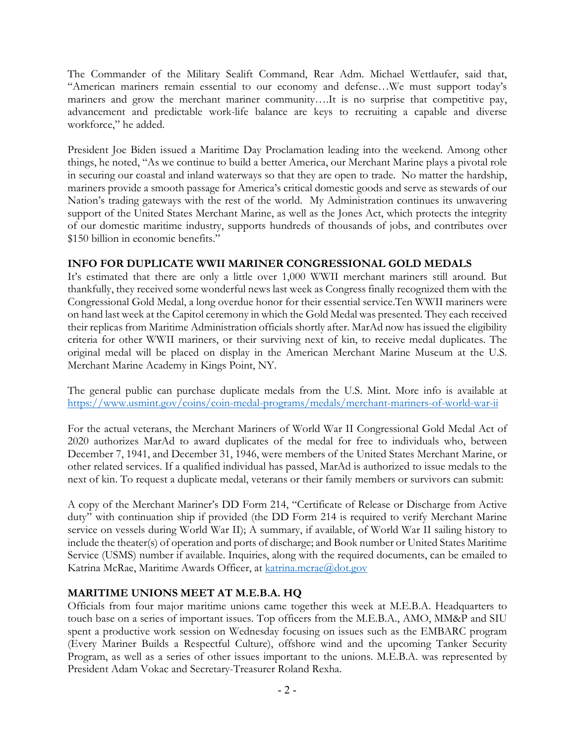The Commander of the Military Sealift Command, Rear Adm. Michael Wettlaufer, said that, "American mariners remain essential to our economy and defense…We must support today's mariners and grow the merchant mariner community….It is no surprise that competitive pay, advancement and predictable work-life balance are keys to recruiting a capable and diverse workforce," he added.

President Joe Biden issued a Maritime Day Proclamation leading into the weekend. Among other things, he noted, "As we continue to build a better America, our Merchant Marine plays a pivotal role in securing our coastal and inland waterways so that they are open to trade. No matter the hardship, mariners provide a smooth passage for America's critical domestic goods and serve as stewards of our Nation's trading gateways with the rest of the world. My Administration continues its unwavering support of the United States Merchant Marine, as well as the Jones Act, which protects the integrity of our domestic maritime industry, supports hundreds of thousands of jobs, and contributes over \$150 billion in economic benefits."

## **INFO FOR DUPLICATE WWII MARINER CONGRESSIONAL GOLD MEDALS**

It's estimated that there are only a little over 1,000 WWII merchant mariners still around. But thankfully, they received some wonderful news last week as Congress finally recognized them with the Congressional Gold Medal, a long overdue honor for their essential service.Ten WWII mariners were on hand last week at the Capitol ceremony in which the Gold Medal was presented. They each received their replicas from Maritime Administration officials shortly after. MarAd now has issued the eligibility criteria for other WWII mariners, or their surviving next of kin, to receive medal duplicates. The original medal will be placed on display in the American Merchant Marine Museum at the U.S. Merchant Marine Academy in Kings Point, NY.

The general public can purchase duplicate medals from the U.S. Mint. More info is available at <https://www.usmint.gov/coins/coin-medal-programs/medals/merchant-mariners-of-world-war-ii>

For the actual veterans, the Merchant Mariners of World War II Congressional Gold Medal Act of 2020 authorizes MarAd to award duplicates of the medal for free to individuals who, between December 7, 1941, and December 31, 1946, were members of the United States Merchant Marine, or other related services. If a qualified individual has passed, MarAd is authorized to issue medals to the next of kin. To request a duplicate medal, veterans or their family members or survivors can submit:

A copy of the Merchant Mariner's DD Form 214, "Certificate of Release or Discharge from Active duty" with continuation ship if provided (the DD Form 214 is required to verify Merchant Marine service on vessels during World War II); A summary, if available, of World War II sailing history to include the theater(s) of operation and ports of discharge; and Book number or United States Maritime Service (USMS) number if available. Inquiries, along with the required documents, can be emailed to Katrina McRae, Maritime Awards Officer, at katrina.mcrae@dot.gov

# **MARITIME UNIONS MEET AT M.E.B.A. HQ**

Officials from four major maritime unions came together this week at M.E.B.A. Headquarters to touch base on a series of important issues. Top officers from the M.E.B.A., AMO, MM&P and SIU spent a productive work session on Wednesday focusing on issues such as the EMBARC program (Every Mariner Builds a Respectful Culture), offshore wind and the upcoming Tanker Security Program, as well as a series of other issues important to the unions. M.E.B.A. was represented by President Adam Vokac and Secretary-Treasurer Roland Rexha.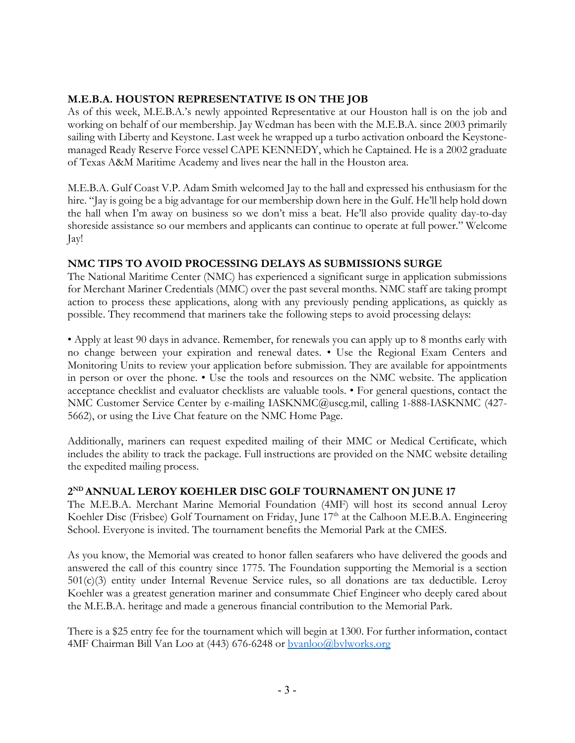# **M.E.B.A. HOUSTON REPRESENTATIVE IS ON THE JOB**

As of this week, M.E.B.A.'s newly appointed Representative at our Houston hall is on the job and working on behalf of our membership. Jay Wedman has been with the M.E.B.A. since 2003 primarily sailing with Liberty and Keystone. Last week he wrapped up a turbo activation onboard the Keystonemanaged Ready Reserve Force vessel CAPE KENNEDY, which he Captained. He is a 2002 graduate of Texas A&M Maritime Academy and lives near the hall in the Houston area.

M.E.B.A. Gulf Coast V.P. Adam Smith welcomed Jay to the hall and expressed his enthusiasm for the hire. "Jay is going be a big advantage for our membership down here in the Gulf. He'll help hold down the hall when I'm away on business so we don't miss a beat. He'll also provide quality day-to-day shoreside assistance so our members and applicants can continue to operate at full power." Welcome Jay!

# **NMC TIPS TO AVOID PROCESSING DELAYS AS SUBMISSIONS SURGE**

The National Maritime Center (NMC) has experienced a significant surge in application submissions for Merchant Mariner Credentials (MMC) over the past several months. NMC staff are taking prompt action to process these applications, along with any previously pending applications, as quickly as possible. They recommend that mariners take the following steps to avoid processing delays:

• Apply at least 90 days in advance. Remember, for renewals you can apply up to 8 months early with no change between your expiration and renewal dates. • Use the Regional Exam Centers and Monitoring Units to review your application before submission. They are available for appointments in person or over the phone. • Use the tools and resources on the NMC website. The application acceptance checklist and evaluator checklists are valuable tools. • For general questions, contact the NMC Customer Service Center by e-mailing IASKNMC@uscg.mil, calling 1-888-IASKNMC (427- 5662), or using the Live Chat feature on the NMC Home Page.

Additionally, mariners can request expedited mailing of their MMC or Medical Certificate, which includes the ability to track the package. Full instructions are provided on the NMC website detailing the expedited mailing process.

# **2ND ANNUAL LEROY KOEHLER DISC GOLF TOURNAMENT ON JUNE 17**

The M.E.B.A. Merchant Marine Memorial Foundation (4MF) will host its second annual Leroy Koehler Disc (Frisbee) Golf Tournament on Friday, June 17<sup>th</sup> at the Calhoon M.E.B.A. Engineering School. Everyone is invited. The tournament benefits the Memorial Park at the CMES.

As you know, the Memorial was created to honor fallen seafarers who have delivered the goods and answered the call of this country since 1775. The Foundation supporting the Memorial is a section 501(c)(3) entity under Internal Revenue Service rules, so all donations are tax deductible. Leroy Koehler was a greatest generation mariner and consummate Chief Engineer who deeply cared about the M.E.B.A. heritage and made a generous financial contribution to the Memorial Park.

There is a \$25 entry fee for the tournament which will begin at 1300. For further information, contact 4MF Chairman Bill Van Loo at (443) 676-6248 or **byanloo@bvlworks.org**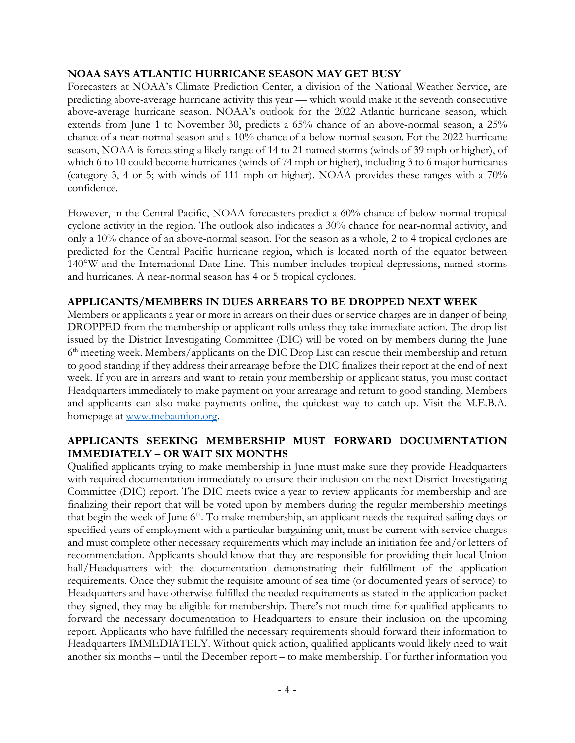### **NOAA SAYS ATLANTIC HURRICANE SEASON MAY GET BUSY**

Forecasters at NOAA's Climate Prediction Center, a division of the National Weather Service, are predicting above-average hurricane activity this year — which would make it the seventh consecutive above-average hurricane season. NOAA's outlook for the 2022 Atlantic hurricane season, which extends from June 1 to November 30, predicts a 65% chance of an above-normal season, a 25% chance of a near-normal season and a 10% chance of a below-normal season. For the 2022 hurricane season, NOAA is forecasting a likely range of 14 to 21 named storms (winds of 39 mph or higher), of which 6 to 10 could become hurricanes (winds of 74 mph or higher), including 3 to 6 major hurricanes (category 3, 4 or 5; with winds of 111 mph or higher). NOAA provides these ranges with a 70% confidence.

However, in the Central Pacific, NOAA forecasters predict a 60% chance of below-normal tropical cyclone activity in the region. The outlook also indicates a 30% chance for near-normal activity, and only a 10% chance of an above-normal season. For the season as a whole, 2 to 4 tropical cyclones are predicted for the Central Pacific hurricane region, which is located north of the equator between 140°W and the International Date Line. This number includes tropical depressions, named storms and hurricanes. A near-normal season has 4 or 5 tropical cyclones.

#### **APPLICANTS/MEMBERS IN DUES ARREARS TO BE DROPPED NEXT WEEK**

Members or applicants a year or more in arrears on their dues or service charges are in danger of being DROPPED from the membership or applicant rolls unless they take immediate action. The drop list issued by the District Investigating Committee (DIC) will be voted on by members during the June  $6<sup>th</sup>$  meeting week. Members/applicants on the DIC Drop List can rescue their membership and return to good standing if they address their arrearage before the DIC finalizes their report at the end of next week. If you are in arrears and want to retain your membership or applicant status, you must contact Headquarters immediately to make payment on your arrearage and return to good standing. Members and applicants can also make payments online, the quickest way to catch up. Visit the M.E.B.A. homepage at [www.mebaunion.org.](http://www.mebaunion.org/)

## **APPLICANTS SEEKING MEMBERSHIP MUST FORWARD DOCUMENTATION IMMEDIATELY – OR WAIT SIX MONTHS**

Qualified applicants trying to make membership in June must make sure they provide Headquarters with required documentation immediately to ensure their inclusion on the next District Investigating Committee (DIC) report. The DIC meets twice a year to review applicants for membership and are finalizing their report that will be voted upon by members during the regular membership meetings that begin the week of June  $6<sup>th</sup>$ . To make membership, an applicant needs the required sailing days or specified years of employment with a particular bargaining unit, must be current with service charges and must complete other necessary requirements which may include an initiation fee and/or letters of recommendation. Applicants should know that they are responsible for providing their local Union hall/Headquarters with the documentation demonstrating their fulfillment of the application requirements. Once they submit the requisite amount of sea time (or documented years of service) to Headquarters and have otherwise fulfilled the needed requirements as stated in the application packet they signed, they may be eligible for membership. There's not much time for qualified applicants to forward the necessary documentation to Headquarters to ensure their inclusion on the upcoming report. Applicants who have fulfilled the necessary requirements should forward their information to Headquarters IMMEDIATELY. Without quick action, qualified applicants would likely need to wait another six months – until the December report – to make membership. For further information you